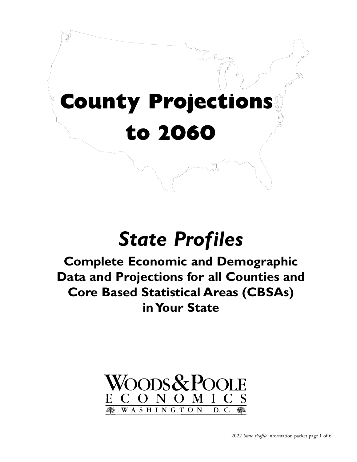# **County Projections**   $\mathbb{R}$ **to 2060**

 $\mathbf{r}$ 

 $\begin{picture}(120,15) \put(0,0){\line(1,0){155}} \put(15,0){\line(1,0){155}} \put(15,0){\line(1,0){155}} \put(15,0){\line(1,0){155}} \put(15,0){\line(1,0){155}} \put(15,0){\line(1,0){155}} \put(15,0){\line(1,0){155}} \put(15,0){\line(1,0){155}} \put(15,0){\line(1,0){155}} \put(15,0){\line(1,0){155}} \put(15,0){\line(1,0){155}}$ 

 $\sum_{i=1}^{n}$ 

 $\blacksquare$ 

# *State Profiles*

**Complete Economic and Demographic Data and Projections for all Counties and Core Based Statistical Areas (CBSAs) in Your State**

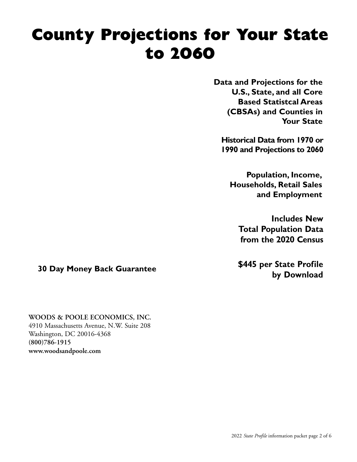# **County Projections for Your State to 2060**

**Data and Projections for the U.S., State, and all Core Based Statistcal Areas (CBSAs) and Counties in Your State**

**Historical Data from 1970 or 1990 and Projections to 2060**

**Population, Income, Households, Retail Sales and Employment**

**Includes New Total Population Data from the 2020 Census**

**by Download 30 Day Money Back Guarantee**

**WOODS & POOLE ECONOMICS, INC.**

4910 Massachusetts Avenue, N.W. Suite 208 Washington, DC 20016-4368 **(800)786-1915 www.woodsandpoole.com**

**\$445 per State Profile**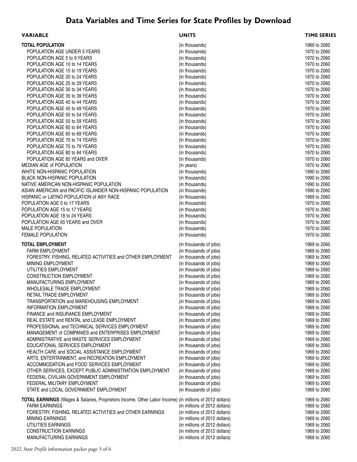# **Data Variables and Time Series for State Profiles by Download**

| <b>VARIABLE</b>                                                                                         | <b>UNITS</b>                                     | <b>TIME SERIES</b>           |
|---------------------------------------------------------------------------------------------------------|--------------------------------------------------|------------------------------|
| <b>TOTAL POPULATION</b>                                                                                 | (in thousands)                                   | 1969 to 2060                 |
| POPULATION AGE UNDER 5 YEARS                                                                            | (in thousands)                                   | 1970 to 2060                 |
| POPULATION AGE 5 to 9 YEARS                                                                             | (in thousands)                                   | 1970 to 2060                 |
| POPULATION AGE 10 to 14 YEARS                                                                           | (in thousands)                                   | 1970 to 2060                 |
| POPULATION AGE 15 to 19 YEARS                                                                           | (in thousands)                                   | 1970 to 2060                 |
| POPULATION AGE 20 to 24 YEARS                                                                           | (in thousands)                                   | 1970 to 2060                 |
| POPULATION AGE 25 to 29 YEARS                                                                           | (in thousands)                                   | 1970 to 2060                 |
| POPULATION AGE 30 to 34 YEARS                                                                           | (in thousands)                                   | 1970 to 2060                 |
| POPULATION AGE 35 to 39 YEARS                                                                           | (in thousands)                                   | 1970 to 2060                 |
| POPULATION AGE 40 to 44 YEARS                                                                           | (in thousands)                                   | 1970 to 2060                 |
| POPULATION AGE 45 to 49 YEARS                                                                           | (in thousands)                                   | 1970 to 2060                 |
| POPULATION AGE 50 to 54 YEARS                                                                           | (in thousands)                                   | 1970 to 2060                 |
| POPULATION AGE 55 to 59 YEARS                                                                           | (in thousands)                                   | 1970 to 2060                 |
| POPULATION AGE 60 to 64 YEARS                                                                           | (in thousands)                                   | 1970 to 2060                 |
| POPULATION AGE 65 to 69 YEARS                                                                           | (in thousands)                                   | 1970 to 2060                 |
| POPULATION AGE 70 to 74 YEARS                                                                           | (in thousands)                                   | 1970 to 2060                 |
| POPULATION AGE 75 to 79 YEARS                                                                           | (in thousands)                                   | 1970 to 2060                 |
| POPULATION AGE 80 to 84 YEARS                                                                           | (in thousands)                                   | 1970 to 2060                 |
| POPULATION AGE 85 YEARS and OVER<br>MEDIAN AGE of POPULATION                                            | (in thousands)                                   | 1970 to 2060<br>1970 to 2060 |
| WHITE NON-HISPANIC POPULATION                                                                           | (in years)<br>(in thousands)                     | 1990 to 2060                 |
| <b>BLACK NON-HISPANIC POPULATION</b>                                                                    | (in thousands)                                   | 1990 to 2060                 |
| NATIVE AMERICAN NON-HISPANIC POPULATION                                                                 | (in thousands)                                   | 1990 to 2060                 |
| ASIAN AMERICAN and PACIFIC ISLANDER NON-HISPANIC POPULATION                                             | (in thousands)                                   | 1990 to 2060                 |
| HISPANIC or LATINO POPULATION of ANY RACE                                                               | (in thousands)                                   | 1969 to 2060                 |
| POPULATION AGE 0 to 17 YEARS                                                                            | (in thousands)                                   | 1970 to 2060                 |
| POPULATION AGE 15 to 17 YEARS                                                                           | (in thousands)                                   | 1970 to 2060                 |
| POPULATION AGE 18 to 24 YEARS                                                                           | (in thousands)                                   | 1970 to 2060                 |
| POPULATION AGE 65 YEARS and OVER                                                                        | (in thousands)                                   | 1970 to 2060                 |
| <b>MALE POPULATION</b>                                                                                  | (in thousands)                                   | 1970 to 2060                 |
| <b>FEMALE POPULATION</b>                                                                                | (in thousands)                                   | 1970 to 2060                 |
|                                                                                                         |                                                  |                              |
| <b>TOTAL EMPLOYMENT</b>                                                                                 | (in thousands of jobs)                           | 1969 to 2060                 |
| <b>FARM EMPLOYMENT</b>                                                                                  | (in thousands of jobs)                           | 1969 to 2060                 |
| FORESTRY, FISHING, RELATED ACTIVITIES and OTHER EMPLOYMENT<br>MINING EMPLOYMENT                         | (in thousands of jobs)<br>(in thousands of jobs) | 1969 to 2060                 |
| UTILITIES EMPLOYMENT                                                                                    | (in thousands of jobs)                           | 1969 to 2060<br>1969 to 2060 |
| <b>CONSTRUCTION EMPLOYMENT</b>                                                                          | (in thousands of jobs)                           | 1969 to 2060                 |
| MANUFACTURING EMPLOYMENT                                                                                | (in thousands of jobs)                           | 1969 to 2060                 |
| WHOLESALE TRADE EMPLOYMENT                                                                              | (in thousands of jobs)                           | 1969 to 2060                 |
| RETAIL TRADE EMPLOYMENT                                                                                 | (in thousands of jobs)                           | 1969 to 2060                 |
| TRANSPORTATION and WAREHOUSING EMPLOYMENT                                                               | (in thousands of jobs)                           | 1969 to 2060                 |
| <b>INFORMATION EMPLOYMENT</b>                                                                           | (in thousands of jobs)                           | 1969 to 2060                 |
| FINANCE and INSURANCE EMPLOYMENT                                                                        | (in thousands of jobs)                           | 1969 to 2060                 |
| REAL ESTATE and RENTAL and LEASE EMPLOYMENT                                                             | (in thousands of jobs)                           | 1969 to 2060                 |
| PROFESSIONAL and TECHNICAL SERVICES EMPLOYMENT                                                          | (in thousands of jobs)                           | 1969 to 2060                 |
| MANAGEMENT of COMPANIES and ENTERPRISES EMPLOYMENT                                                      | (in thousands of jobs)                           | 1969 to 2060                 |
| ADMINISTRATIVE and WASTE SERVICES EMPLOYMENT                                                            | (in thousands of jobs)                           | 1969 to 2060                 |
| EDUCATIONAL SERVICES EMPLOYMENT                                                                         | (in thousands of jobs)                           | 1969 to 2060                 |
| HEALTH CARE and SOCIAL ASSISTANCE EMPLOYMENT                                                            | (in thousands of jobs)                           | 1969 to 2060                 |
| ARTS, ENTERTAINMENT, and RECREATION EMPLOYMENT                                                          | (in thousands of jobs)                           | 1969 to 2060                 |
| ACCOMMODATION and FOOD SERVICES EMPLOYMENT                                                              | (in thousands of jobs)                           | 1969 to 2060                 |
| OTHER SERVICES, EXCEPT PUBLIC ADMINISTRATION EMPLOYMENT                                                 | (in thousands of jobs)                           | 1969 to 2060                 |
| FEDERAL CIVILIAN GOVERNMENT EMPLOYMENT                                                                  | (in thousands of jobs)                           | 1969 to 2060                 |
| FEDERAL MILITARY EMPLOYMENT                                                                             | (in thousands of jobs)                           | 1969 to 2060                 |
| STATE and LOCAL GOVERNMENT EMPLOYMENT                                                                   | (in thousands of jobs)                           | 1969 to 2060                 |
| TOTAL EARNINGS (Wages & Salaries, Proprietors Income, Other Labor Income) (in millions of 2012 dollars) |                                                  | 1969 to 2060                 |
| <b>FARM EARNINGS</b>                                                                                    | (in millions of 2012 dollars)                    | 1969 to 2060                 |
| FORESTRY, FISHING, RELATED ACTIVITIES and OTHER EARNINGS                                                | (in millions of 2012 dollars)                    | 1969 to 2060                 |
| <b>MINING EARNINGS</b>                                                                                  | (in millions of 2012 dollars)                    | 1969 to 2060                 |
| UTILITIES EARNINGS                                                                                      | (in millions of 2012 dollars)                    | 1969 to 2060                 |
| <b>CONSTRUCTION EARNINGS</b>                                                                            | (in millions of 2012 dollars)                    | 1969 to 2060                 |
| MANUFACTURING EARNINGS                                                                                  | (in millions of 2012 dollars)                    | 1969 to 2060                 |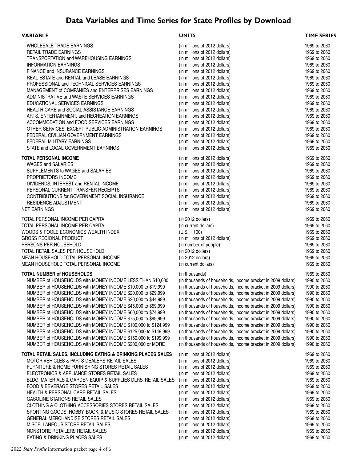# **Data Variables and Time Series for State Profiles by Download**

### **VARIABLE UNITS TIME SERIES**

| WHOLESALE TRADE EARNINGS                              |
|-------------------------------------------------------|
| <b>RETAIL TRADE EARNINGS</b>                          |
| TRANSPORTATION and WAREHOUSING EARNINGS               |
| <b>INFORMATION EARNINGS</b>                           |
| FINANCE and INSURANCE EARNINGS                        |
| REAL ESTATE and RENTAL and LEASE EARNINGS             |
| PROFESSIONAL and TECHNICAL SERVICES EARNINGS          |
| MANAGEMENT of COMPANIES and ENTERPRISES EARNINGS      |
| ADMINISTRATIVE and WASTE SERVICES EARNINGS            |
| EDUCATIONAL SERVICES EARNINGS                         |
| HEALTH CARE and SOCIAL ASSISTANCE EARNINGS            |
| ARTS, ENTERTAINMENT, and RECREATION EARNINGS          |
| ACCOMMODATION and FOOD SERVICES EARNINGS              |
| OTHER SERVICES, EXCEPT PUBLIC ADMINISTRATION EARNINGS |
| FEDERAL CIVILIAN GOVERNMENT EARNINGS                  |
| FEDERAL MILITARY FARNINGS                             |
| STATE and LOCAL GOVERNMENT EARNINGS                   |

## **TOTAL PERSONAL INCOME**

## **TOTAL NUMBER of HOUSEHOLDS**

#### **TOTAL RETAIL SALES, INCLUDING EATING & DRINKING PLACES SALES**

MOTOR VEHICLES & PARTS DEALERS RETAIL SALES FURNITURE & HOME FURNISHING STORES RETAIL SALES ELECTRONICS & APPLIANCE STORES RETAIL SALES BLDG. MATERIALS & GARDEN EQUIP. & SUPPLIES DLRS. RETAIL SALE FOOD & BEVERAGE STORES RETAIL SALES HEALTH & PERSONAL CARE RETAIL SALES **GASOLINE STATIONS RETAIL SALES** CLOTHING & CLOTHING ACCESSORIES STORES RETAIL SALES SPORTING GOODS, HOBBY, BOOK, & MUSIC STORES RETAIL SALES GENERAL MERCHANDISE STORES RETAIL SALES MISCELLANEOUS STORE RETAIL SALES (in millions of 2012 dollars) 1969 to 2060 NONSTORE RETAILERS RETAIL SALES (in millions of 2012 dollars) 1969 to 2060 EATING & DRINKING PLACES SALES (in millions of 2012 dollars) 1969 to 2060

| WHOLESALE TRADE EARNINGS                                      | (in millions of 2012 dollars)                                | 1969 to 2060                 |
|---------------------------------------------------------------|--------------------------------------------------------------|------------------------------|
| <b>RETAIL TRADE EARNINGS</b>                                  | (in millions of 2012 dollars)                                | 1969 to 2060                 |
| TRANSPORTATION and WAREHOUSING EARNINGS                       | (in millions of 2012 dollars)                                | 1969 to 2060                 |
| <b>INFORMATION EARNINGS</b>                                   | (in millions of 2012 dollars)                                | 1969 to 2060                 |
| FINANCE and INSURANCE EARNINGS                                | (in millions of 2012 dollars)                                | 1969 to 2060                 |
| REAL ESTATE and RENTAL and LEASE EARNINGS                     | (in millions of 2012 dollars)                                | 1969 to 2060                 |
| PROFESSIONAL and TECHNICAL SERVICES EARNINGS                  | (in millions of 2012 dollars)                                | 1969 to 2060                 |
| MANAGEMENT of COMPANIES and ENTERPRISES EARNINGS              | (in millions of 2012 dollars)                                | 1969 to 2060                 |
| ADMINISTRATIVE and WASTE SERVICES EARNINGS                    | (in millions of 2012 dollars)                                | 1969 to 2060                 |
| EDUCATIONAL SERVICES EARNINGS                                 | (in millions of 2012 dollars)                                | 1969 to 2060                 |
| HEALTH CARE and SOCIAL ASSISTANCE EARNINGS                    | (in millions of 2012 dollars)                                | 1969 to 2060                 |
| ARTS, ENTERTAINMENT, and RECREATION EARNINGS                  | (in millions of 2012 dollars)                                | 1969 to 2060                 |
| ACCOMMODATION and FOOD SERVICES EARNINGS                      | (in millions of 2012 dollars)                                | 1969 to 2060                 |
| OTHER SERVICES, EXCEPT PUBLIC ADMINISTRATION EARNINGS         | (in millions of 2012 dollars)                                | 1969 to 2060                 |
| FEDERAL CIVILIAN GOVERNMENT EARNINGS                          | (in millions of 2012 dollars)                                | 1969 to 2060                 |
| FEDERAL MILITARY EARNINGS                                     | (in millions of 2012 dollars)                                | 1969 to 2060                 |
| STATE and LOCAL GOVERNMENT EARNINGS                           | (in millions of 2012 dollars)                                | 1969 to 2060                 |
| TOTAL PERSONAL INCOME                                         | (in millions of 2012 dollars)                                | 1969 to 2060                 |
| <b>WAGES and SALARIES</b>                                     | (in millions of 2012 dollars)                                | 1969 to 2060                 |
| SUPPLEMENTS to WAGES and SALARIES                             | (in millions of 2012 dollars)                                | 1969 to 2060                 |
| PROPRIETORS INCOME                                            | (in millions of 2012 dollars)                                | 1969 to 2060                 |
| DIVIDENDS, INTEREST and RENTAL INCOME                         | (in millions of 2012 dollars)                                | 1969 to 2060                 |
| PERSONAL CURRENT TRANSFER RECEIPTS                            | (in millions of 2012 dollars)                                | 1969 to 2060                 |
| CONTRIBUTIONS for GOVERNMENT SOCIAL INSURANCE                 | (in millions of 2012 dollars)                                | 1969 to 2060                 |
| RESIDENCE ADJUSTMENT                                          | (in millions of 2012 dollars)                                | 1969 to 2060                 |
| NET EARNINGS                                                  | (in millions of 2012 dollars)                                | 1969 to 2060                 |
|                                                               |                                                              |                              |
| TOTAL PERSONAL INCOME PER CAPITA                              | $(in 2012$ dollars)                                          | 1969 to 2060                 |
| TOTAL PERSONAL INCOME PER CAPITA                              | (in current dollars)                                         | 1969 to 2060                 |
| WOODS & POOLE ECONOMICS WEALTH INDEX                          | $(U.S. = 100)$                                               | 1969 to 2060                 |
| GROSS REGIONAL PRODUCT<br>PERSONS PER HOUSEHOLD               | (in millions of 2012 dollars)                                | 1969 to 2060<br>1969 to 2060 |
| TOTAL RETAIL SALES PER HOUSEHOLD                              | (in number of people)                                        | 1969 to 2060                 |
| MEAN HOUSEHOLD TOTAL PERSONAL INCOME                          | (in 2012 dollars)<br>(in 2012 dollars)                       | 1969 to 2060                 |
| MEAN HOUSEHOLD TOTAL PERSONAL INCOME                          |                                                              |                              |
|                                                               | (in current dollars)                                         | 1969 to 2060                 |
| TOTAL NUMBER of HOUSEHOLDS                                    | (in thousands)                                               | 1969 to 2060                 |
| NUMBER of HOUSEHOLDS with MONEY INCOME LESS THAN \$10,000     | (in thousands of households, income bracket in 2009 dollars) | 1990 to 2060                 |
| NUMBER of HOUSEHOLDS with MONEY INCOME \$10,000 to \$19,999   | (in thousands of households, income bracket in 2009 dollars) | 1990 to 2060                 |
| NUMBER of HOUSEHOLDS with MONEY INCOME \$20,000 to \$29,999   | (in thousands of households, income bracket in 2009 dollars) | 1990 to 2060                 |
| NUMBER of HOUSEHOLDS with MONEY INCOME \$30,000 to \$44,999   | (in thousands of households, income bracket in 2009 dollars) | 1990 to 2060                 |
| NUMBER of HOUSEHOLDS with MONEY INCOME \$45,000 to \$59,999   | (in thousands of households, income bracket in 2009 dollars) | 1990 to 2060                 |
| NUMBER of HOUSEHOLDS with MONEY INCOME \$60,000 to \$74,999   | (in thousands of households, income bracket in 2009 dollars) | 1990 to 2060                 |
| NUMBER of HOUSEHOLDS with MONEY INCOME \$75,000 to \$99,999   | (in thousands of households, income bracket in 2009 dollars) | 1990 to 2060                 |
| NUMBER of HOUSEHOLDS with MONEY INCOME \$100,000 to \$124,999 | (in thousands of households, income bracket in 2009 dollars) | 1990 to 2060                 |
| NUMBER of HOUSEHOLDS with MONEY INCOME \$125,000 to \$149,999 | (in thousands of households, income bracket in 2009 dollars) | 1990 to 2060                 |
| NUMBER of HOUSEHOLDS with MONEY INCOME \$150,000 to \$199,999 | (in thousands of households, income bracket in 2009 dollars) | 1990 to 2060                 |
| NUMBER of HOUSEHOLDS with MONEY INCOME \$200,000 or MORE      | (in thousands of households, income bracket in 2009 dollars) | 1990 to 2060                 |
| TOTAL RETAIL SALES, INCLUDING EATING & DRINKING PLACES SALES  | (in millions of 2012 dollars)                                | 1969 to 2060                 |
| MOTOR VEHICLES & PARTS DEALERS RETAIL SALES                   | (in millions of 2012 dollars)                                | 1969 to 2060                 |
| FURNITURE & HOME FURNISHING STORES RETAIL SALES               | (in millions of 2012 dollars)                                | 1969 to 2060                 |
| ELECTRONICS & APPLIANCE STORES RETAIL SALES                   | (in millions of 2012 dollars)                                | 1969 to 2060                 |
| BLDG. MATERIALS & GARDEN EQUIP. & SUPPLIES DLRS. RETAIL SALES | (in millions of 2012 dollars)                                | 1969 to 2060                 |
| FOOD & BEVERAGE STORES RETAIL SALES                           | (in millions of 2012 dollars)                                | 1969 to 2060                 |
| HEALTH & PERSONAL CARE RETAIL SALES                           | (in millions of 2012 dollars)                                | 1969 to 2060                 |
| <b>GASOLINE STATIONS RETAIL SALES</b>                         | (in millions of 2012 dollars)                                | 1969 to 2060                 |
| CLOTHING & CLOTHING ACCESSORIES STORES RETAIL SALES           | (in millions of 2012 dollars)                                | 1969 to 2060                 |
| SPORTING GOODS, HOBBY, BOOK, & MUSIC STORES RETAIL SALES      | (in millions of 2012 dollars)                                | 1969 to 2060                 |
| GENERAL MERCHANDISE STORES RETAIL SALES                       | (in millions of 2012 dollars)                                | 1969 to 2060                 |
| LANFOUR STORE BETAIL CALES                                    |                                                              | 0.001500                     |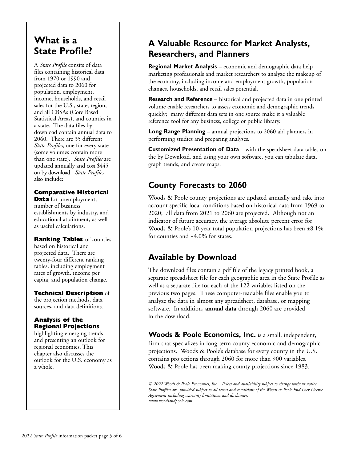# **What is a State Profile?**

A *State Profile* consits of data files containing historical data from 1970 or 1990 and projected data to 2060 for population, employment, income, households, and retail sales for the U.S., state, region, and all CBSAs (Core Based Statistical Areas), and counties in a state. The data files by download contain annual data to 2060. There are 35 different *State Profiles*, one for every state (some volumes contain more than one state). *State Profiles* are updated annually and cost \$445 on by download. *State Profiles* also include:

# **Comparative Historical**

**Data** for unemployment, number of business establishments by industry, and educational attainment, as well as useful calculations.

**Ranking Tables** of counties based on historical and projected data. There are twenty-four different ranking tables, including employment rates of growth, income per capita, and population change.

## **Technical Description** of

the projection methods, data sources, and data definitions.

## **Analysis of the Regional Projections**

highlighting emerging trends and presenting an outlook for regional economies. This chapter also discusses the outlook for the U.S. economy as a whole.

# **A Valuable Resource for Market Analysts, Researchers, and Planners**

**Regional Market Analysis** – economic and demographic data help marketing professionals and market researchers to analyze the makeup of the economy, including income and employment growth, population changes, households, and retail sales potential.

**Research and Reference** – historical and projected data in one printed volume enable researchers to assess economic and demographic trends quickly; many different data sets in one source make it a valuable reference tool for any business, college or public library.

**Long Range Planning** – annual projections to 2060 aid planners in performing studies and preparing analyses.

**Customized Presentation of Data** – with the speadsheet data tables on the by Download, and using your own software, you can tabulate data, graph trends, and create maps.

# **County Forecasts to 2060**

Woods & Poole county projections are updated annually and take into account specific local conditions based on historical data from 1969 to 2020; all data from 2021 to 2060 are projected. Although not an indicator of future accuracy, the average absolute percent error for Woods & Poole's 10-year total population projections has been ±8.1% for counties and ±4.0% for states.

# **Available by Download**

The download files contain a pdf file of the legacy printed book, a separate spreadsheet file for each geographic area in the State Profile as well as a separate file for each of the 122 variables listed on the previous two pages. These computer-readable files enable you to analyze the data in almost any spreadsheet, database, or mapping software. In addition, **annual data** through 2060 are provided in the download.

**Woods & Poole Economics, Inc.** is a small, independent, firm that specializes in long-term county economic and demographic projections. Woods & Poole's database for every county in the U.S. contains projections through 2060 for more than 900 variables. Woods & Poole has been making county projections since 1983.

*© 2022 Woods & Poole Economics, Inc. Prices and availability subject to change without notice. State Profiles are provided subject to all terms and conditions of the Woods & Poole End User License Agreement including warranty limitations and disclaimers. www.woodsandpoole.com*